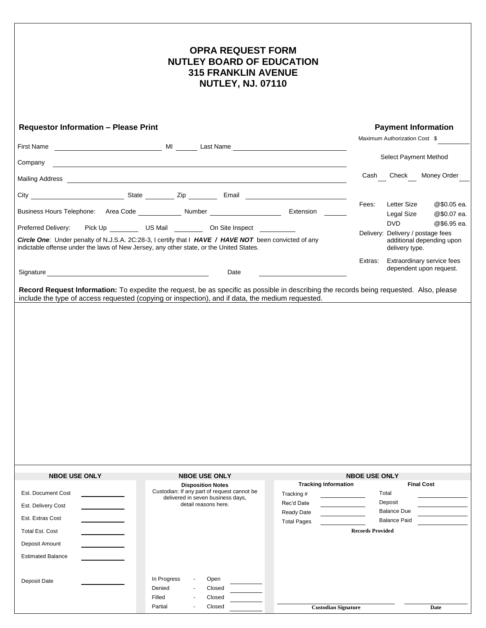| <b>OPRA REQUEST FORM</b><br><b>NUTLEY BOARD OF EDUCATION</b><br><b>315 FRANKLIN AVENUE</b><br><b>NUTLEY, NJ. 07110</b>                                                                                                         |                                                                                                                                                                                                                                             |                             |                               |                                                                                  |
|--------------------------------------------------------------------------------------------------------------------------------------------------------------------------------------------------------------------------------|---------------------------------------------------------------------------------------------------------------------------------------------------------------------------------------------------------------------------------------------|-----------------------------|-------------------------------|----------------------------------------------------------------------------------|
| <b>Requestor Information - Please Print</b>                                                                                                                                                                                    |                                                                                                                                                                                                                                             |                             | <b>Payment Information</b>    |                                                                                  |
|                                                                                                                                                                                                                                |                                                                                                                                                                                                                                             |                             | Maximum Authorization Cost \$ |                                                                                  |
| Company                                                                                                                                                                                                                        | <u> 1980 - Johann Barn, mars ann an t-Amhain Aonaichte ann an t-Amhain Aonaichte ann an t-Amhain Aonaichte ann an</u>                                                                                                                       |                             |                               | Select Payment Method                                                            |
|                                                                                                                                                                                                                                | Mailing Address <b>contained a manufacture of the Contract Contract Contract Contract Contract Contract Contract Contract Contract Contract Contract Contract Contract Contract Contract Contract Contract Contract Contract Con</b>        |                             |                               | Cash Check Money Order                                                           |
|                                                                                                                                                                                                                                |                                                                                                                                                                                                                                             |                             |                               |                                                                                  |
|                                                                                                                                                                                                                                |                                                                                                                                                                                                                                             |                             | Fees:                         | <b>Letter Size</b><br>@\$0.05 ea.<br>Legal Size<br>@\$0.07 ea.                   |
|                                                                                                                                                                                                                                | Preferred Delivery: Pick Up _________ US Mail __________ On Site Inspect ________                                                                                                                                                           |                             |                               | <b>DVD</b><br>@\$6.95 ea.                                                        |
| indictable offense under the laws of New Jersey, any other state, or the United States.                                                                                                                                        | Circle One: Under penalty of N.J.S.A. 2C:28-3, I certify that I HAVE / HAVE NOT been convicted of any                                                                                                                                       |                             |                               | Delivery: Delivery / postage fees<br>additional depending upon<br>delivery type. |
| Signature experience and the state of the state of the state of the state of the state of the state of the state of the state of the state of the state of the state of the state of the state of the state of the state of th | Date                                                                                                                                                                                                                                        |                             |                               | Extras: Extraordinary service fees<br>dependent upon request.                    |
|                                                                                                                                                                                                                                | Record Request Information: To expedite the request, be as specific as possible in describing the records being requested. Also, please<br>include the type of access requested (copying or inspection), and if data, the medium requested. |                             |                               |                                                                                  |
|                                                                                                                                                                                                                                |                                                                                                                                                                                                                                             |                             |                               |                                                                                  |
| <b>NBOE USE ONLY</b>                                                                                                                                                                                                           | <b>NBOE USE ONLY</b><br><b>Disposition Notes</b>                                                                                                                                                                                            | <b>Tracking Information</b> | <b>NBOE USE ONLY</b>          | <b>Final Cost</b>                                                                |
| Est. Document Cost                                                                                                                                                                                                             | Custodian: If any part of request cannot be<br>delivered in seven business days,<br>detail reasons here.                                                                                                                                    | Tracking#<br>Rec'd Date     |                               | Total<br>Deposit                                                                 |
| Est. Delivery Cost<br>Est. Extras Cost                                                                                                                                                                                         |                                                                                                                                                                                                                                             | <b>Ready Date</b>           |                               | <b>Balance Due</b>                                                               |
| <b>Total Est. Cost</b>                                                                                                                                                                                                         |                                                                                                                                                                                                                                             | <b>Total Pages</b>          | <b>Records Provided</b>       | <b>Balance Paid</b>                                                              |
| Deposit Amount                                                                                                                                                                                                                 |                                                                                                                                                                                                                                             |                             |                               |                                                                                  |
| <b>Estimated Balance</b>                                                                                                                                                                                                       |                                                                                                                                                                                                                                             |                             |                               |                                                                                  |
| Deposit Date                                                                                                                                                                                                                   | In Progress<br>Open<br>Denied<br>Closed<br>Filled<br>Closed                                                                                                                                                                                 |                             |                               |                                                                                  |
|                                                                                                                                                                                                                                | Partial<br>Closed                                                                                                                                                                                                                           | <b>Custodian Signature</b>  |                               | Date                                                                             |